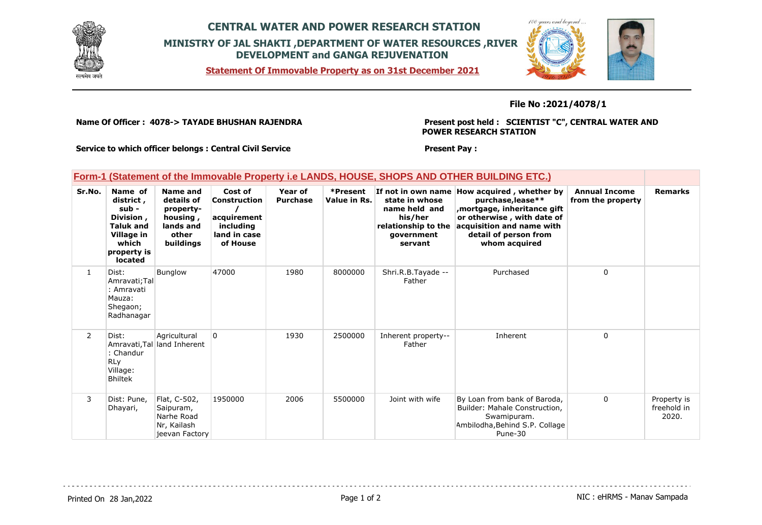

# **CENTRAL WATER AND POWER RESEARCH STATION MINISTRY OF JAL SHAKTI ,DEPARTMENT OF WATER RESOURCES ,RIVER DEVELOPMENT and GANGA REJUVENATION**

**Statement Of Immovable Property as on 31st December 2021**



### **File No :2021/4078/1**

**Name Of Officer : 4078-> TAYADE BHUSHAN RAJENDRA** 

**Present post held : SCIENTIST "C", CENTRAL WATER AND POWER RESEARCH STATION**

 $100$ 

**Service to which officer belongs : Central Civil Service**

#### **Present Pay :**

### **Form-1 (Statement of the Immovable Property i.e LANDS, HOUSE, SHOPS AND OTHER BUILDING ETC.)**

| Sr.No.         | Name of<br>district,<br>sub -<br>Division,<br><b>Taluk and</b><br>Village in<br>which<br>property is<br>located | Name and<br>details of<br>property-<br>housing,<br>lands and<br>other<br>buildings | Cost of<br>Construction<br>acquirement<br>including<br>land in case<br>of House | Year of<br><b>Purchase</b> | *Present<br>Value in Rs. | If not in own name<br>state in whose<br>name held and<br>his/her<br>relationship to the<br>government<br>servant | How acquired, whether by<br>purchase, lease**<br>mortgage, inheritance gift,<br>or otherwise, with date of<br>acquisition and name with<br>detail of person from<br>whom acquired | <b>Annual Income</b><br>from the property | <b>Remarks</b>                      |
|----------------|-----------------------------------------------------------------------------------------------------------------|------------------------------------------------------------------------------------|---------------------------------------------------------------------------------|----------------------------|--------------------------|------------------------------------------------------------------------------------------------------------------|-----------------------------------------------------------------------------------------------------------------------------------------------------------------------------------|-------------------------------------------|-------------------------------------|
| $\mathbf{1}$   | Dist:<br>Amravati; Tal<br>: Amravati<br>Mauza:<br>Shegaon;<br>Radhanagar                                        | <b>Bunglow</b>                                                                     | 47000                                                                           | 1980                       | 8000000                  | Shri.R.B.Tayade --<br>Father                                                                                     | Purchased                                                                                                                                                                         | 0                                         |                                     |
| $\overline{2}$ | Dist:<br>Amravati, Tal<br>: Chandur<br><b>RLy</b><br>Village:<br><b>Bhiltek</b>                                 | Agricultural<br>land Inherent                                                      | 0                                                                               | 1930                       | 2500000                  | Inherent property--<br>Father                                                                                    | Inherent                                                                                                                                                                          | 0                                         |                                     |
| 3              | Dist: Pune.<br>Dhayari,                                                                                         | Flat, C-502,<br>Saipuram,<br>Narhe Road<br>Nr, Kailash<br>jeevan Factory           | 1950000                                                                         | 2006                       | 5500000                  | Joint with wife                                                                                                  | By Loan from bank of Baroda,<br>Builder: Mahale Construction,<br>Swamipuram.<br>Ambilodha, Behind S.P. Collage<br>Pune-30                                                         | 0                                         | Property is<br>freehold in<br>2020. |

Printed On 28 Jan, 2022 2001 12:00 Page 1 of 2 Page 1 of 2 NIC : eHRMS - Manav Sampada